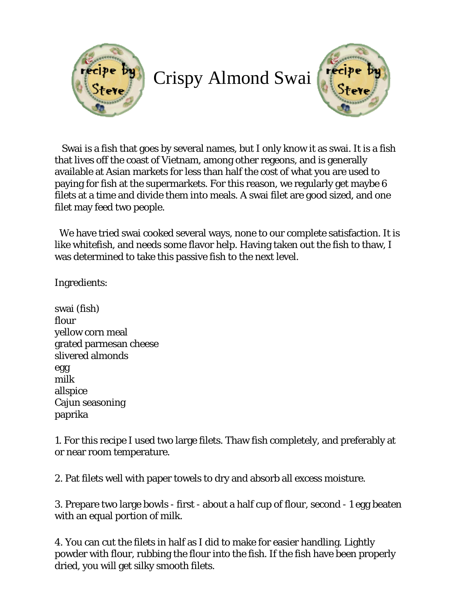

## Crispy Almond Swai



 Swai is a fish that goes by several names, but I only know it as swai. It is a fish that lives off the coast of Vietnam, among other regeons, and is generally available at Asian markets for less than half the cost of what you are used to paying for fish at the supermarkets. For this reason, we regularly get maybe 6 filets at a time and divide them into meals. A swai filet are good sized, and one filet may feed two people.

 We have tried swai cooked several ways, none to our complete satisfaction. It is like whitefish, and needs some flavor help. Having taken out the fish to thaw, I was determined to take this passive fish to the next level.

Ingredients:

swai (fish) flour yellow corn meal grated parmesan cheese slivered almonds egg milk allspice Cajun seasoning paprika

1. For this recipe I used two large filets. Thaw fish completely, and preferably at or near room temperature.

2. Pat filets well with paper towels to dry and absorb all excess moisture.

3. Prepare two large bowls - first - about a half cup of flour, second - 1 egg beaten with an equal portion of milk.

4. You can cut the filets in half as I did to make for easier handling. Lightly powder with flour, rubbing the flour into the fish. If the fish have been properly dried, you will get silky smooth filets.